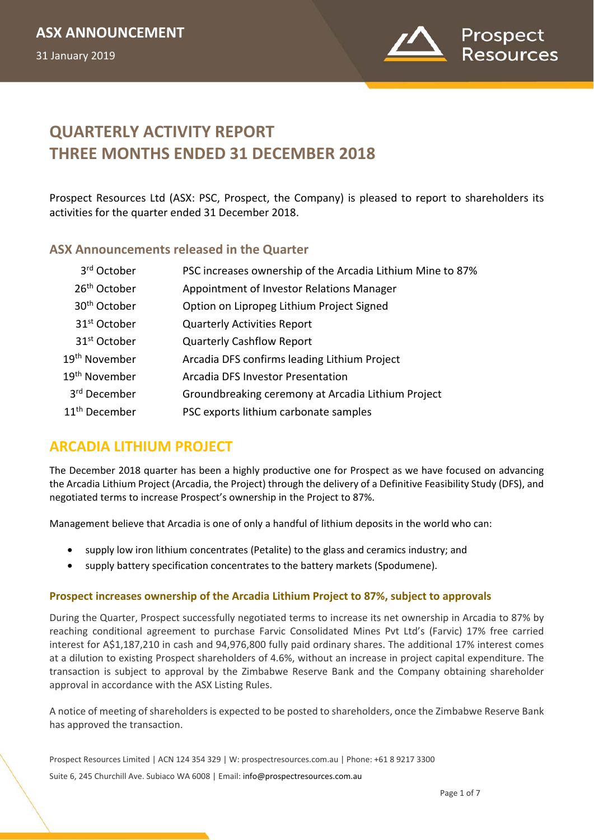

# **QUARTERLY ACTIVITY REPORT THREE MONTHS ENDED 31 DECEMBER 2018**

Prospect Resources Ltd (ASX: PSC, Prospect, the Company) is pleased to report to shareholders its activities for the quarter ended 31 December 2018.

## **ASX Announcements released in the Quarter**

| 3rd October               | PSC increases ownership of the Arcadia Lithium Mine to 87% |
|---------------------------|------------------------------------------------------------|
| 26 <sup>th</sup> October  | Appointment of Investor Relations Manager                  |
| 30 <sup>th</sup> October  | Option on Lipropeg Lithium Project Signed                  |
| 31 <sup>st</sup> October  | <b>Quarterly Activities Report</b>                         |
| 31 <sup>st</sup> October  | <b>Quarterly Cashflow Report</b>                           |
| 19 <sup>th</sup> November | Arcadia DFS confirms leading Lithium Project               |
| 19 <sup>th</sup> November | Arcadia DFS Investor Presentation                          |
| 3rd December              | Groundbreaking ceremony at Arcadia Lithium Project         |
| 11 <sup>th</sup> December | PSC exports lithium carbonate samples                      |

# **ARCADIA LITHIUM PROJECT**

The December 2018 quarter has been a highly productive one for Prospect as we have focused on advancing the Arcadia Lithium Project (Arcadia, the Project) through the delivery of a Definitive Feasibility Study (DFS), and negotiated terms to increase Prospect's ownership in the Project to 87%.

Management believe that Arcadia is one of only a handful of lithium deposits in the world who can:

- supply low iron lithium concentrates (Petalite) to the glass and ceramics industry; and
- supply battery specification concentrates to the battery markets (Spodumene).

### **Prospect increases ownership of the Arcadia Lithium Project to 87%, subject to approvals**

During the Quarter, Prospect successfully negotiated terms to increase its net ownership in Arcadia to 87% by reaching conditional agreement to purchase Farvic Consolidated Mines Pvt Ltd's (Farvic) 17% free carried interest for A\$1,187,210 in cash and 94,976,800 fully paid ordinary shares. The additional 17% interest comes at a dilution to existing Prospect shareholders of 4.6%, without an increase in project capital expenditure. The transaction is subject to approval by the Zimbabwe Reserve Bank and the Company obtaining shareholder approval in accordance with the ASX Listing Rules.

A notice of meeting of shareholders is expected to be posted to shareholders, once the Zimbabwe Reserve Bank has approved the transaction.

Prospect Resources Limited | ACN 124 354 329 | W: prospectresources.com.au | Phone: +61 8 9217 3300

Suite 6, 245 Churchill Ave. Subiaco WA 6008 | Email: info@prospectresources.com.au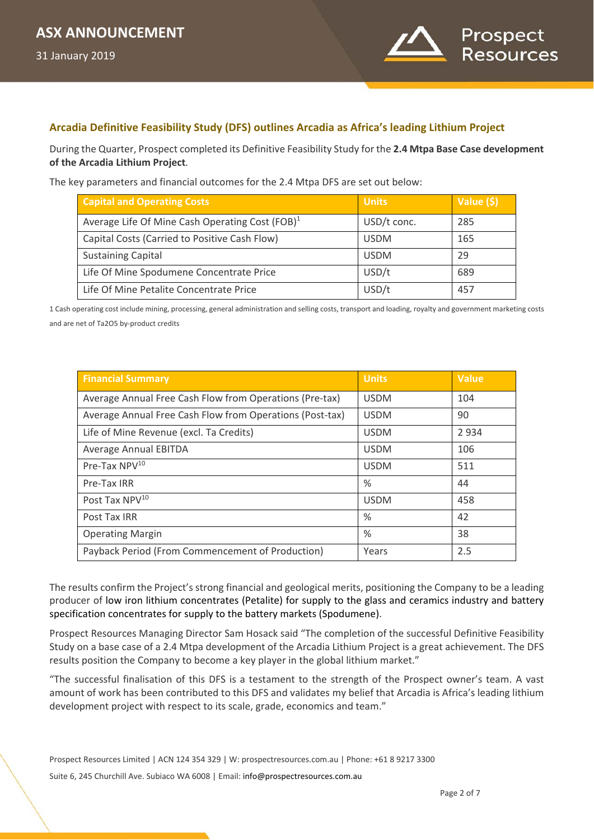

### **Arcadia Definitive Feasibility Study (DFS) outlines Arcadia as Africa's leading Lithium Project**

During the Quarter, Prospect completed its Definitive Feasibility Study for the **2.4 Mtpa Base Case development of the Arcadia Lithium Project**.

The key parameters and financial outcomes for the 2.4 Mtpa DFS are set out below:

| <b>Capital and Operating Costs</b>                          | <b>Units</b> | Value (\$) |
|-------------------------------------------------------------|--------------|------------|
| Average Life Of Mine Cash Operating Cost (FOB) <sup>1</sup> | USD/t conc.  | 285        |
| Capital Costs (Carried to Positive Cash Flow)               | <b>USDM</b>  | 165        |
| <b>Sustaining Capital</b>                                   | <b>USDM</b>  | 29         |
| Life Of Mine Spodumene Concentrate Price                    | USD/t        | 689        |
| Life Of Mine Petalite Concentrate Price                     | USD/t        | 457        |

1 Cash operating cost include mining, processing, general administration and selling costs, transport and loading, royalty and government marketing costs and are net of Ta2O5 by-product credits

| <b>Financial Summary</b>                                 | <b>Units</b> | <b>Value</b> |
|----------------------------------------------------------|--------------|--------------|
| Average Annual Free Cash Flow from Operations (Pre-tax)  | <b>USDM</b>  | 104          |
| Average Annual Free Cash Flow from Operations (Post-tax) | <b>USDM</b>  | 90           |
| Life of Mine Revenue (excl. Ta Credits)                  | <b>USDM</b>  | 2934         |
| <b>Average Annual EBITDA</b>                             | <b>USDM</b>  | 106          |
| Pre-Tax NPV <sup>10</sup>                                | <b>USDM</b>  | 511          |
| Pre-Tax IRR                                              | $\%$         | 44           |
| Post Tax NPV <sup>10</sup>                               | <b>USDM</b>  | 458          |
| Post Tax IRR                                             | $\%$         | 42           |
| <b>Operating Margin</b>                                  | $\%$         | 38           |
| Payback Period (From Commencement of Production)         | Years        | 2.5          |

The results confirm the Project's strong financial and geological merits, positioning the Company to be a leading producer of low iron lithium concentrates (Petalite) for supply to the glass and ceramics industry and battery specification concentrates for supply to the battery markets (Spodumene).

Prospect Resources Managing Director Sam Hosack said "The completion of the successful Definitive Feasibility Study on a base case of a 2.4 Mtpa development of the Arcadia Lithium Project is a great achievement. The DFS results position the Company to become a key player in the global lithium market."

"The successful finalisation of this DFS is a testament to the strength of the Prospect owner's team. A vast amount of work has been contributed to this DFS and validates my belief that Arcadia is Africa's leading lithium development project with respect to its scale, grade, economics and team."

Prospect Resources Limited | ACN 124 354 329 | W: prospectresources.com.au | Phone: +61 8 9217 3300

Suite 6, 245 Churchill Ave. Subiaco WA 6008 | Email: info@prospectresources.com.au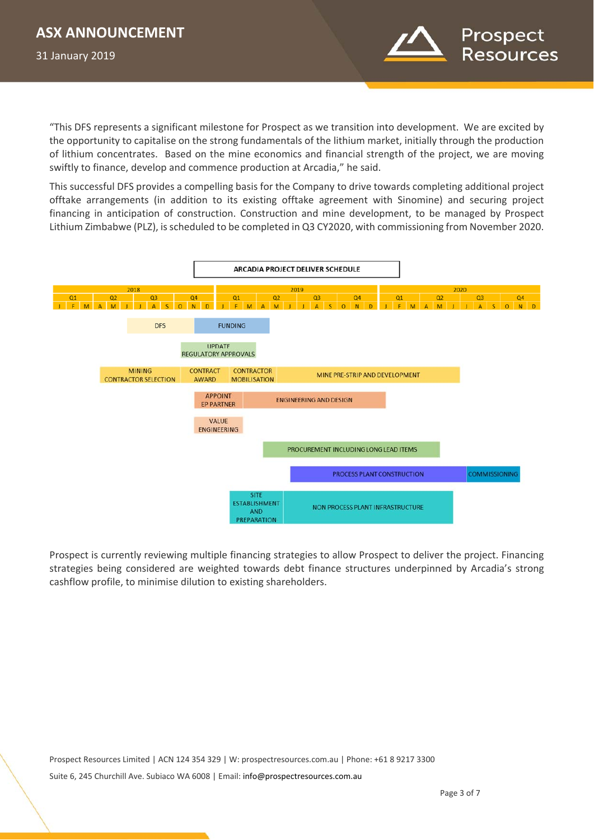

"This DFS represents a significant milestone for Prospect as we transition into development. We are excited by the opportunity to capitalise on the strong fundamentals of the lithium market, initially through the production of lithium concentrates. Based on the mine economics and financial strength of the project, we are moving swiftly to finance, develop and commence production at Arcadia," he said.

This successful DFS provides a compelling basis for the Company to drive towards completing additional project offtake arrangements (in addition to its existing offtake agreement with Sinomine) and securing project financing in anticipation of construction. Construction and mine development, to be managed by Prospect Lithium Zimbabwe (PLZ), is scheduled to be completed in Q3 CY2020, with commissioning from November 2020.



Prospect is currently reviewing multiple financing strategies to allow Prospect to deliver the project. Financing strategies being considered are weighted towards debt finance structures underpinned by Arcadia's strong cashflow profile, to minimise dilution to existing shareholders.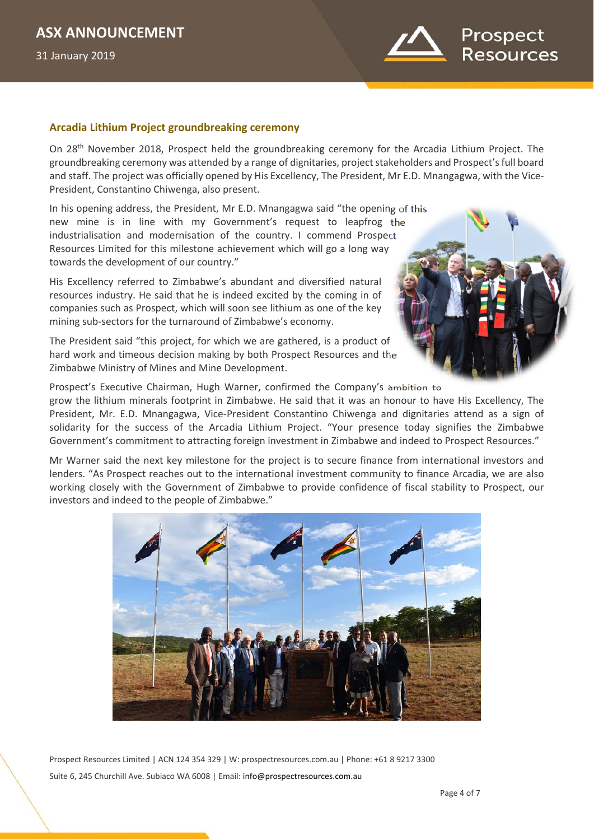

#### **Arcadia Lithium Project groundbreaking ceremony**

On 28th November 2018, Prospect held the groundbreaking ceremony for the Arcadia Lithium Project. The groundbreaking ceremony was attended by a range of dignitaries, project stakeholders and Prospect's full board and staff. The project was officially opened by His Excellency, The President, Mr E.D. Mnangagwa, with the Vice-President, Constantino Chiwenga, also present.

In his opening address, the President, Mr E.D. Mnangagwa said "the opening of this new mine is in line with my Government's request to leapfrog the industrialisation and modernisation of the country. I commend Prospect Resources Limited for this milestone achievement which will go a long way towards the development of our country."

His Excellency referred to Zimbabwe's abundant and diversified natural resources industry. He said that he is indeed excited by the coming in of companies such as Prospect, which will soon see lithium as one of the key mining sub-sectors for the turnaround of Zimbabwe's economy.

The President said "this project, for which we are gathered, is a product of hard work and timeous decision making by both Prospect Resources and the Zimbabwe Ministry of Mines and Mine Development.



Prospect's Executive Chairman, Hugh Warner, confirmed the Company's ambition to grow the lithium minerals footprint in Zimbabwe. He said that it was an honour to have His Excellency, The President, Mr. E.D. Mnangagwa, Vice-President Constantino Chiwenga and dignitaries attend as a sign of solidarity for the success of the Arcadia Lithium Project. "Your presence today signifies the Zimbabwe Government's commitment to attracting foreign investment in Zimbabwe and indeed to Prospect Resources."

Mr Warner said the next key milestone for the project is to secure finance from international investors and lenders. "As Prospect reaches out to the international investment community to finance Arcadia, we are also working closely with the Government of Zimbabwe to provide confidence of fiscal stability to Prospect, our investors and indeed to the people of Zimbabwe."



Prospect Resources Limited | ACN 124 354 329 | W: prospectresources.com.au | Phone: +61 8 9217 3300 Suite 6, 245 Churchill Ave. Subiaco WA 6008 | Email: info@prospectresources.com.au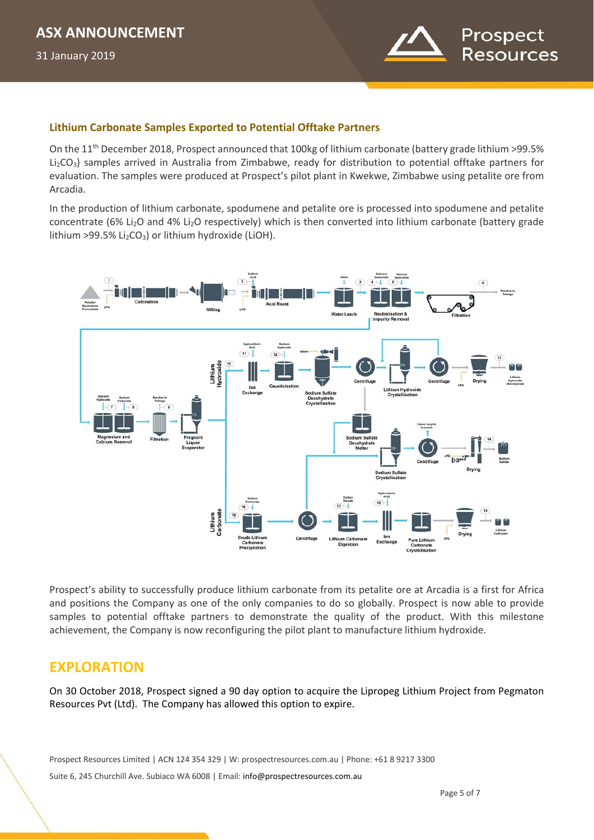

### **Lithium Carbonate Samples Exported to Potential Offtake Partners**

On the 11<sup>th</sup> December 2018, Prospect announced that 100kg of lithium carbonate (battery grade lithium >99.5% Li<sub>2</sub>CO<sub>3</sub>) samples arrived in Australia from Zimbabwe, ready for distribution to potential offtake partners for evaluation. The samples were produced at Prospect's pilot plant in Kwekwe, Zimbabwe using petalite ore from Arcadia.

In the production of lithium carbonate, spodumene and petalite ore is processed into spodumene and petalite concentrate (6% Li2O and 4% Li2O respectively) which is then converted into lithium carbonate (battery grade lithium >99.5% Li<sub>2</sub>CO<sub>3</sub>) or lithium hydroxide (LiOH).



Prospect's ability to successfully produce lithium carbonate from its petalite ore at Arcadia is a first for Africa and positions the Company as one of the only companies to do so globally. Prospect is now able to provide samples to potential offtake partners to demonstrate the quality of the product. With this milestone achievement, the Company is now reconfiguring the pilot plant to manufacture lithium hydroxide.

# **EXPLORATION**

On 30 October 2018, Prospect signed a 90 day option to acquire the Lipropeg Lithium Project from Pegmaton Resources Pvt (Ltd). The Company has allowed this option to expire.

Prospect Resources Limited | ACN 124 354 329 | W: prospectresources.com.au | Phone: +61 8 9217 3300

Suite 6, 245 Churchill Ave. Subiaco WA 6008 | Email: info@prospectresources.com.au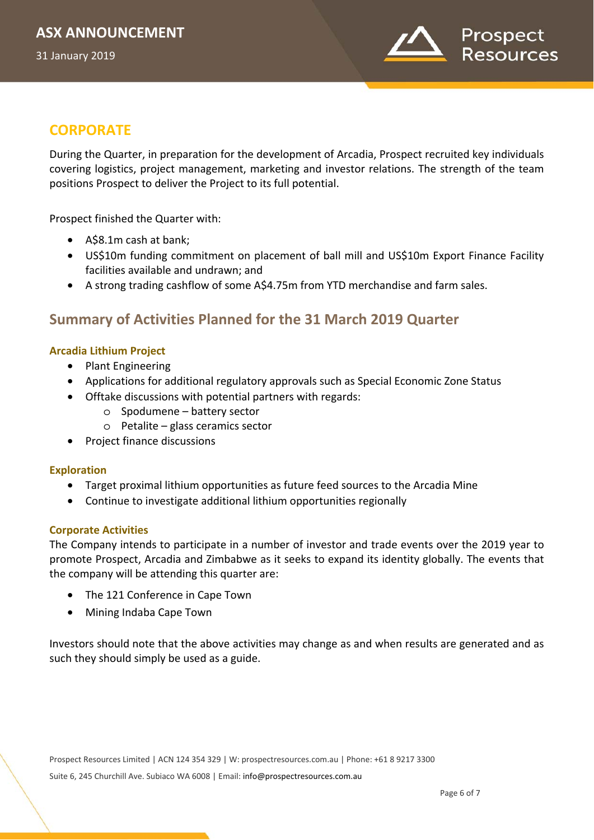

# **CORPORATE**

During the Quarter, in preparation for the development of Arcadia, Prospect recruited key individuals covering logistics, project management, marketing and investor relations. The strength of the team positions Prospect to deliver the Project to its full potential.

Prospect finished the Quarter with:

- A\$8.1m cash at bank;
- US\$10m funding commitment on placement of ball mill and US\$10m Export Finance Facility facilities available and undrawn; and
- A strong trading cashflow of some A\$4.75m from YTD merchandise and farm sales.

# **Summary of Activities Planned for the 31 March 2019 Quarter**

### **Arcadia Lithium Project**

- Plant Engineering
- Applications for additional regulatory approvals such as Special Economic Zone Status
- Offtake discussions with potential partners with regards:
	- o Spodumene battery sector
	- o Petalite glass ceramics sector
- Project finance discussions

### **Exploration**

- Target proximal lithium opportunities as future feed sources to the Arcadia Mine
- Continue to investigate additional lithium opportunities regionally

### **Corporate Activities**

The Company intends to participate in a number of investor and trade events over the 2019 year to promote Prospect, Arcadia and Zimbabwe as it seeks to expand its identity globally. The events that the company will be attending this quarter are:

- The 121 Conference in Cape Town
- Mining Indaba Cape Town

Investors should note that the above activities may change as and when results are generated and as such they should simply be used as a guide.